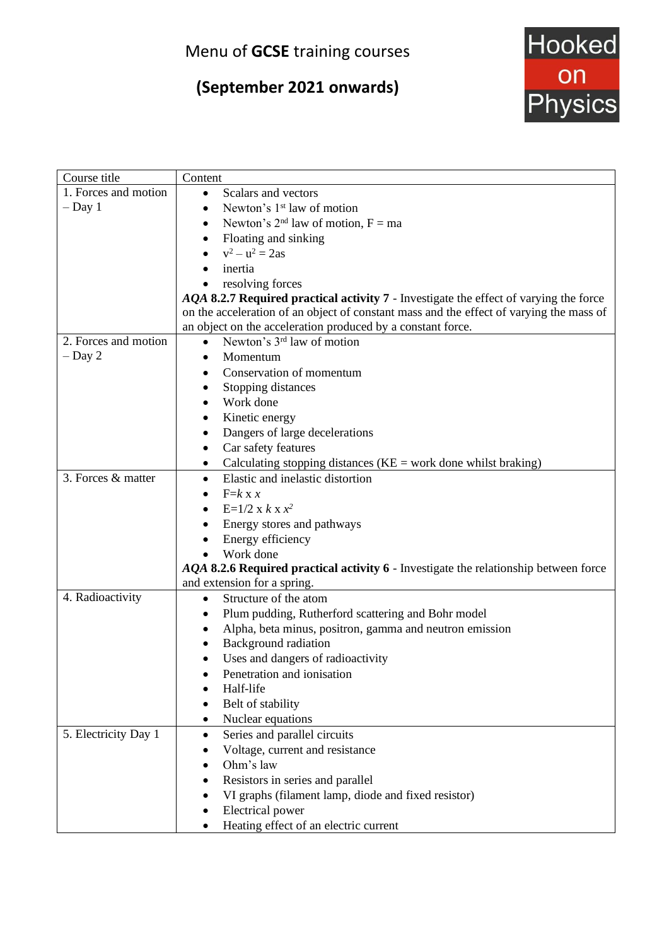## Menu of **GCSE** training courses

# **(September 2021 onwards)**



| Course title         | Content                                                                                 |
|----------------------|-----------------------------------------------------------------------------------------|
| 1. Forces and motion | Scalars and vectors<br>$\bullet$                                                        |
| $-$ Day 1            | Newton's 1 <sup>st</sup> law of motion<br>$\bullet$                                     |
|                      | Newton's $2^{nd}$ law of motion, $F = ma$<br>$\bullet$                                  |
|                      | Floating and sinking<br>$\bullet$                                                       |
|                      | $v^2 - u^2 = 2as$                                                                       |
|                      | inertia                                                                                 |
|                      | resolving forces                                                                        |
|                      | AQA 8.2.7 Required practical activity 7 - Investigate the effect of varying the force   |
|                      | on the acceleration of an object of constant mass and the effect of varying the mass of |
|                      | an object on the acceleration produced by a constant force.                             |
| 2. Forces and motion | Newton's 3 <sup>rd</sup> law of motion<br>$\bullet$                                     |
| $-$ Day 2            | Momentum<br>$\bullet$                                                                   |
|                      | Conservation of momentum                                                                |
|                      | Stopping distances<br>٠                                                                 |
|                      | Work done                                                                               |
|                      | Kinetic energy<br>٠                                                                     |
|                      | Dangers of large decelerations                                                          |
|                      | Car safety features                                                                     |
|                      | Calculating stopping distances ( $KE$ = work done whilst braking)<br>٠                  |
| 3. Forces & matter   | Elastic and inelastic distortion<br>$\bullet$                                           |
|                      | $F=k x x$                                                                               |
|                      | $E=1/2 x k x x^2$                                                                       |
|                      | Energy stores and pathways                                                              |
|                      | Energy efficiency                                                                       |
|                      | Work done                                                                               |
|                      | AQA 8.2.6 Required practical activity 6 - Investigate the relationship between force    |
|                      | and extension for a spring.                                                             |
| 4. Radioactivity     | Structure of the atom<br>$\bullet$                                                      |
|                      | Plum pudding, Rutherford scattering and Bohr model<br>٠                                 |
|                      | Alpha, beta minus, positron, gamma and neutron emission                                 |
|                      | Background radiation                                                                    |
|                      | Uses and dangers of radioactivity                                                       |
|                      | Penetration and ionisation                                                              |
|                      | Half-life                                                                               |
|                      | Belt of stability                                                                       |
|                      | Nuclear equations<br>$\bullet$                                                          |
| 5. Electricity Day 1 | Series and parallel circuits<br>$\bullet$                                               |
|                      | Voltage, current and resistance                                                         |
|                      | Ohm's law                                                                               |
|                      | Resistors in series and parallel                                                        |
|                      | VI graphs (filament lamp, diode and fixed resistor)                                     |
|                      | Electrical power                                                                        |
|                      | Heating effect of an electric current                                                   |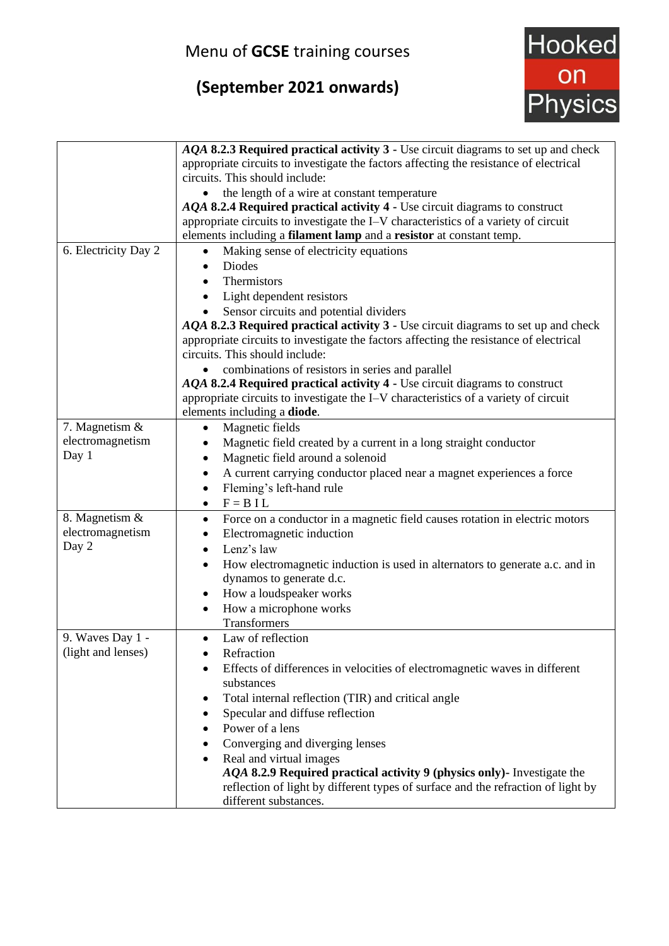## Menu of **GCSE** training courses

# **(September 2021 onwards)**



|                      | AQA 8.2.3 Required practical activity 3 - Use circuit diagrams to set up and check       |
|----------------------|------------------------------------------------------------------------------------------|
|                      | appropriate circuits to investigate the factors affecting the resistance of electrical   |
|                      | circuits. This should include:                                                           |
|                      | the length of a wire at constant temperature<br>$\bullet$                                |
|                      | AQA 8.2.4 Required practical activity 4 - Use circuit diagrams to construct              |
|                      | appropriate circuits to investigate the I-V characteristics of a variety of circuit      |
|                      | elements including a filament lamp and a resistor at constant temp.                      |
| 6. Electricity Day 2 | Making sense of electricity equations<br>$\bullet$                                       |
|                      | <b>Diodes</b><br>$\bullet$                                                               |
|                      | Thermistors<br>$\bullet$                                                                 |
|                      | Light dependent resistors                                                                |
|                      | Sensor circuits and potential dividers                                                   |
|                      | AQA 8.2.3 Required practical activity 3 - Use circuit diagrams to set up and check       |
|                      | appropriate circuits to investigate the factors affecting the resistance of electrical   |
|                      | circuits. This should include:                                                           |
|                      | combinations of resistors in series and parallel                                         |
|                      | AQA 8.2.4 Required practical activity 4 - Use circuit diagrams to construct              |
|                      | appropriate circuits to investigate the I-V characteristics of a variety of circuit      |
|                      | elements including a diode.                                                              |
| 7. Magnetism &       | Magnetic fields<br>٠                                                                     |
| electromagnetism     | Magnetic field created by a current in a long straight conductor                         |
| Day 1                | Magnetic field around a solenoid<br>٠                                                    |
|                      | A current carrying conductor placed near a magnet experiences a force<br>٠               |
|                      | Fleming's left-hand rule<br>$\bullet$                                                    |
|                      | $F = BIL$<br>$\bullet$                                                                   |
| 8. Magnetism &       | Force on a conductor in a magnetic field causes rotation in electric motors<br>$\bullet$ |
| electromagnetism     | Electromagnetic induction<br>٠                                                           |
| Day 2                | Lenz's law<br>$\bullet$                                                                  |
|                      | How electromagnetic induction is used in alternators to generate a.c. and in<br>٠        |
|                      | dynamos to generate d.c.                                                                 |
|                      | How a loudspeaker works<br>$\bullet$                                                     |
|                      | How a microphone works<br>٠                                                              |
|                      | Transformers                                                                             |
| 9. Waves Day 1 -     | Law of reflection<br>$\bullet$                                                           |
| (light and lenses)   | Refraction                                                                               |
|                      | Effects of differences in velocities of electromagnetic waves in different               |
|                      | substances                                                                               |
|                      | Total internal reflection (TIR) and critical angle<br>٠                                  |
|                      | Specular and diffuse reflection<br>$\bullet$                                             |
|                      | Power of a lens                                                                          |
|                      | Converging and diverging lenses                                                          |
|                      | Real and virtual images                                                                  |
|                      | AQA 8.2.9 Required practical activity 9 (physics only)- Investigate the                  |
|                      | reflection of light by different types of surface and the refraction of light by         |
|                      | different substances.                                                                    |